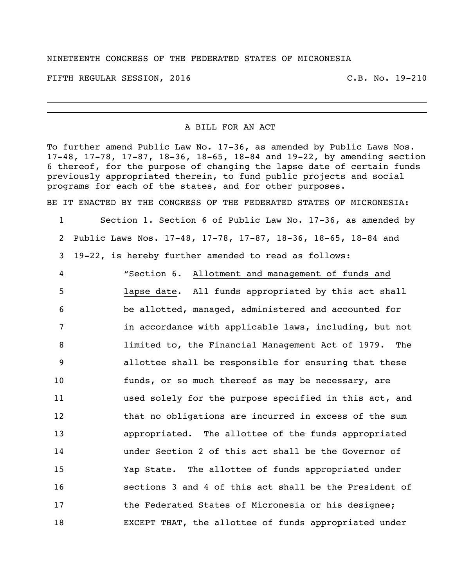## NINETEENTH CONGRESS OF THE FEDERATED STATES OF MICRONESIA

FIFTH REGULAR SESSION, 2016 C.B. No. 19-210

## A BILL FOR AN ACT

To further amend Public Law No. 17-36, as amended by Public Laws Nos. 17-48, 17-78, 17-87, 18-36, 18-65, 18-84 and 19-22, by amending section thereof, for the purpose of changing the lapse date of certain funds previously appropriated therein, to fund public projects and social programs for each of the states, and for other purposes.

BE IT ENACTED BY THE CONGRESS OF THE FEDERATED STATES OF MICRONESIA:

 Section 1. Section 6 of Public Law No. 17-36, as amended by Public Laws Nos. 17-48, 17-78, 17-87, 18-36, 18-65, 18-84 and 19-22, is hereby further amended to read as follows:

 "Section 6. Allotment and management of funds and lapse date. All funds appropriated by this act shall be allotted, managed, administered and accounted for in accordance with applicable laws, including, but not limited to, the Financial Management Act of 1979. The allottee shall be responsible for ensuring that these funds, or so much thereof as may be necessary, are used solely for the purpose specified in this act, and 12 that no obligations are incurred in excess of the sum appropriated. The allottee of the funds appropriated under Section 2 of this act shall be the Governor of Yap State. The allottee of funds appropriated under sections 3 and 4 of this act shall be the President of the Federated States of Micronesia or his designee; EXCEPT THAT, the allottee of funds appropriated under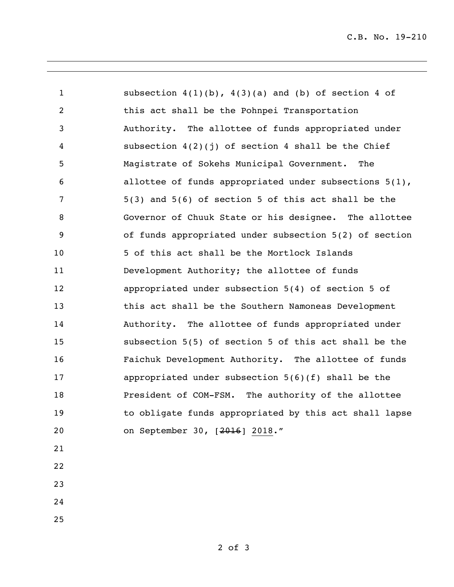subsection 4(1)(b), 4(3)(a) and (b) of section 4 of this act shall be the Pohnpei Transportation Authority. The allottee of funds appropriated under subsection 4(2)(j) of section 4 shall be the Chief Magistrate of Sokehs Municipal Government. The allottee of funds appropriated under subsections 5(1), 5(3) and 5(6) of section 5 of this act shall be the Governor of Chuuk State or his designee. The allottee of funds appropriated under subsection 5(2) of section 5 of this act shall be the Mortlock Islands Development Authority; the allottee of funds appropriated under subsection 5(4) of section 5 of this act shall be the Southern Namoneas Development Authority. The allottee of funds appropriated under subsection 5(5) of section 5 of this act shall be the Faichuk Development Authority. The allottee of funds appropriated under subsection 5(6)(f) shall be the President of COM-FSM. The authority of the allottee to obligate funds appropriated by this act shall lapse on September 30, [2016] 2018." 

- 
- 
-